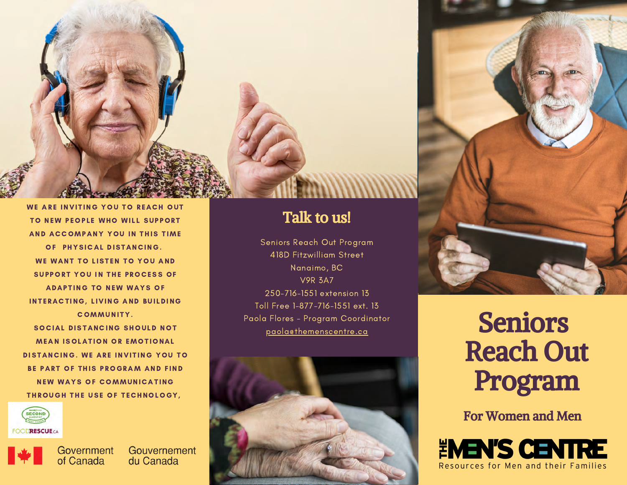

TO NEW PEOPLE WHO WILL SUPPORT AND ACCOMPANY YOU IN THIS TIME OF PHYSICAL DISTANCING. WE WANT TO LISTEN TO YOU AND SUPPORT YOU IN THE PROCESS OF **ADAPTING TO NEW WAYS OF** INTERACTING, LIVING AND BUILDING COMMUNITY. SOCIAL DISTANCING SHOULD NOT **MEAN ISOLATION OR EMOTIONAL** DISTANCING. WE ARE INVITING YOU TO BE PART OF THIS PROGRAM AND FIND **NEW WAYS OF COMMUNICATING** THROUGH THE USE OF TECHNOLOGY,





Government Gouvernement of Canada du Canada

## Talk to us!

Seniors Reach Out Program 418D Fitzwilliam Street Nanaimo, BC V9R 3A7 250-716-1551 extension 13 Toll Free 1-877-716-1551 ext. 13 Paola Flores - Program Coordinator Profile and Seniors and Seniors and Seniors





## Reach Out Program

For Women and Men